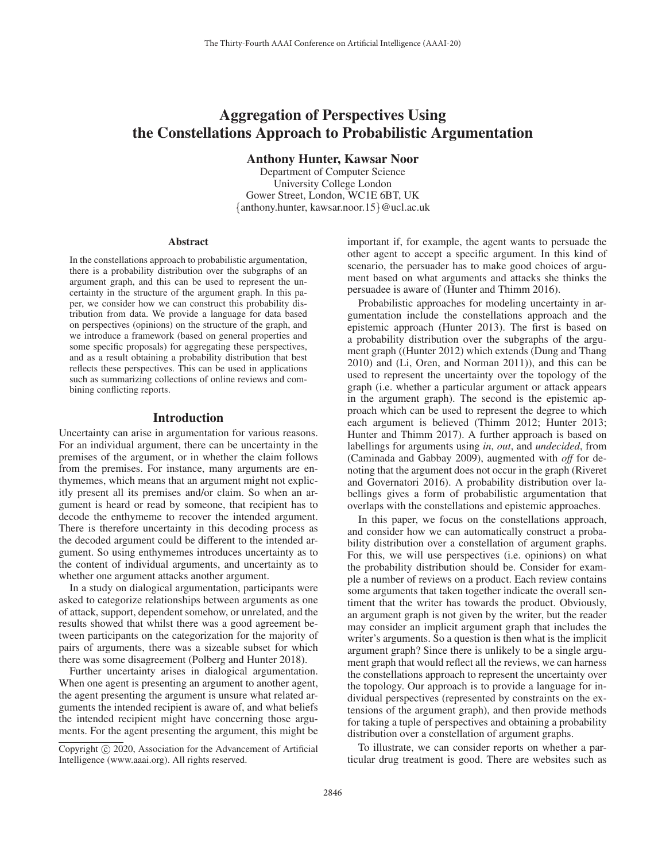# Aggregation of Perspectives Using the Constellations Approach to Probabilistic Argumentation

Anthony Hunter, Kawsar Noor

Department of Computer Science University College London Gower Street, London, WC1E 6BT, UK {anthony.hunter, kawsar.noor.15}@ucl.ac.uk

#### **Abstract**

In the constellations approach to probabilistic argumentation, there is a probability distribution over the subgraphs of an argument graph, and this can be used to represent the uncertainty in the structure of the argument graph. In this paper, we consider how we can construct this probability distribution from data. We provide a language for data based on perspectives (opinions) on the structure of the graph, and we introduce a framework (based on general properties and some specific proposals) for aggregating these perspectives, and as a result obtaining a probability distribution that best reflects these perspectives. This can be used in applications such as summarizing collections of online reviews and combining conflicting reports.

## Introduction

Uncertainty can arise in argumentation for various reasons. For an individual argument, there can be uncertainty in the premises of the argument, or in whether the claim follows from the premises. For instance, many arguments are enthymemes, which means that an argument might not explicitly present all its premises and/or claim. So when an argument is heard or read by someone, that recipient has to decode the enthymeme to recover the intended argument. There is therefore uncertainty in this decoding process as the decoded argument could be different to the intended argument. So using enthymemes introduces uncertainty as to the content of individual arguments, and uncertainty as to whether one argument attacks another argument.

In a study on dialogical argumentation, participants were asked to categorize relationships between arguments as one of attack, support, dependent somehow, or unrelated, and the results showed that whilst there was a good agreement between participants on the categorization for the majority of pairs of arguments, there was a sizeable subset for which there was some disagreement (Polberg and Hunter 2018).

Further uncertainty arises in dialogical argumentation. When one agent is presenting an argument to another agent, the agent presenting the argument is unsure what related arguments the intended recipient is aware of, and what beliefs the intended recipient might have concerning those arguments. For the agent presenting the argument, this might be

important if, for example, the agent wants to persuade the other agent to accept a specific argument. In this kind of scenario, the persuader has to make good choices of argument based on what arguments and attacks she thinks the persuadee is aware of (Hunter and Thimm 2016).

Probabilistic approaches for modeling uncertainty in argumentation include the constellations approach and the epistemic approach (Hunter 2013). The first is based on a probability distribution over the subgraphs of the argument graph ((Hunter 2012) which extends (Dung and Thang 2010) and (Li, Oren, and Norman 2011)), and this can be used to represent the uncertainty over the topology of the graph (i.e. whether a particular argument or attack appears in the argument graph). The second is the epistemic approach which can be used to represent the degree to which each argument is believed (Thimm 2012; Hunter 2013; Hunter and Thimm 2017). A further approach is based on labellings for arguments using *in*, *out*, and *undecided*, from (Caminada and Gabbay 2009), augmented with *off* for denoting that the argument does not occur in the graph (Riveret and Governatori 2016). A probability distribution over labellings gives a form of probabilistic argumentation that overlaps with the constellations and epistemic approaches.

In this paper, we focus on the constellations approach, and consider how we can automatically construct a probability distribution over a constellation of argument graphs. For this, we will use perspectives (i.e. opinions) on what the probability distribution should be. Consider for example a number of reviews on a product. Each review contains some arguments that taken together indicate the overall sentiment that the writer has towards the product. Obviously, an argument graph is not given by the writer, but the reader may consider an implicit argument graph that includes the writer's arguments. So a question is then what is the implicit argument graph? Since there is unlikely to be a single argument graph that would reflect all the reviews, we can harness the constellations approach to represent the uncertainty over the topology. Our approach is to provide a language for individual perspectives (represented by constraints on the extensions of the argument graph), and then provide methods for taking a tuple of perspectives and obtaining a probability distribution over a constellation of argument graphs.

To illustrate, we can consider reports on whether a particular drug treatment is good. There are websites such as

Copyright  $\odot$  2020, Association for the Advancement of Artificial Intelligence (www.aaai.org). All rights reserved.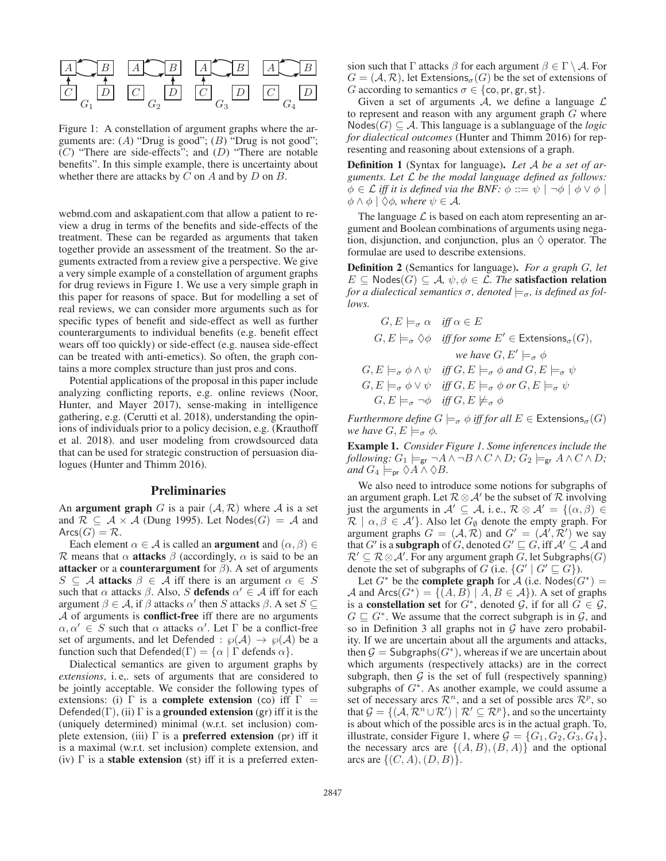

Figure 1: A constellation of argument graphs where the arguments are: (A) "Drug is good"; (B) "Drug is not good";  $(C)$  "There are side-effects"; and  $(D)$  "There are notable benefits". In this simple example, there is uncertainty about whether there are attacks by  $C$  on  $A$  and by  $D$  on  $B$ .

webmd.com and askapatient.com that allow a patient to review a drug in terms of the benefits and side-effects of the treatment. These can be regarded as arguments that taken together provide an assessment of the treatment. So the arguments extracted from a review give a perspective. We give a very simple example of a constellation of argument graphs for drug reviews in Figure 1. We use a very simple graph in this paper for reasons of space. But for modelling a set of real reviews, we can consider more arguments such as for specific types of benefit and side-effect as well as further counterarguments to individual benefits (e.g. benefit effect wears off too quickly) or side-effect (e.g. nausea side-effect can be treated with anti-emetics). So often, the graph contains a more complex structure than just pros and cons.

Potential applications of the proposal in this paper include analyzing conflicting reports, e.g. online reviews (Noor, Hunter, and Mayer 2017), sense-making in intelligence gathering, e.g. (Cerutti et al. 2018), understanding the opinions of individuals prior to a policy decision, e.g. (Krauthoff et al. 2018). and user modeling from crowdsourced data that can be used for strategic construction of persuasion dialogues (Hunter and Thimm 2016).

## Preliminaries

An **argument graph** G is a pair  $(A, \mathcal{R})$  where A is a set and  $\mathcal{R} \subseteq \mathcal{A} \times \mathcal{A}$  (Dung 1995). Let Nodes( $G$ ) =  $\mathcal{A}$  and  $Arcs(G) = \mathcal{R}.$ 

Each element  $\alpha \in A$  is called an **argument** and  $(\alpha, \beta) \in$ R means that  $\alpha$  attacks  $\beta$  (accordingly,  $\alpha$  is said to be an attacker or a counterargument for  $\beta$ ). A set of arguments  $S \subseteq A$  attacks  $\beta \in A$  iff there is an argument  $\alpha \in S$ such that  $\alpha$  attacks  $\beta$ . Also, S **defends**  $\alpha' \in \mathcal{A}$  iff for each argument  $\beta \in \mathcal{A}$ , if  $\beta$  attacks  $\alpha'$  then S attacks  $\beta$ . A set  $S \subseteq$  $A$  of arguments is **conflict-free** iff there are no arguments  $\alpha, \alpha' \in S$  such that  $\alpha$  attacks  $\alpha'$ . Let  $\Gamma$  be a conflict-free set of arguments, and let Defended :  $\wp(A) \to \wp(A)$  be a function such that Defended(Γ) =  $\{\alpha \mid \Gamma \text{ depends } \alpha\}.$ 

Dialectical semantics are given to argument graphs by *extensions*, i. e,. sets of arguments that are considered to be jointly acceptable. We consider the following types of extensions: (i)  $\Gamma$  is a **complete extension** (co) iff  $\Gamma$  = Defended(Γ), (ii) Γ is a grounded extension (gr) iff it is the (uniquely determined) minimal (w.r.t. set inclusion) complete extension, (iii)  $\Gamma$  is a **preferred extension** (pr) iff it is a maximal (w.r.t. set inclusion) complete extension, and (iv)  $\Gamma$  is a **stable extension** (st) iff it is a preferred extension such that Γ attacks  $\beta$  for each argument  $\beta \in \Gamma \setminus \mathcal{A}$ . For  $G = (A, \mathcal{R})$ , let Extensions<sub> $\sigma$ </sub> $(G)$  be the set of extensions of G according to semantics  $\sigma \in \{\text{co}, \text{pr}, \text{gr}, \text{st}\}.$ 

Given a set of arguments  $A$ , we define a language  $L$ to represent and reason with any argument graph  $G$  where Nodes( $G$ ) ⊆ A. This language is a sublanguage of the *logic for dialectical outcomes* (Hunter and Thimm 2016) for representing and reasoning about extensions of a graph.

Definition 1 (Syntax for language). *Let* A *be a set of arguments. Let* L *be the modal language defined as follows:*  $\phi \in \mathcal{L}$  *iff it is defined via the BNF:*  $\phi ::= \psi \mid \neg \phi \mid \phi \vee \phi \mid$  $\phi \wedge \phi \mid \Diamond \phi$ *, where*  $\psi \in \mathcal{A}$ *.* 

The language  $\mathcal L$  is based on each atom representing an argument and Boolean combinations of arguments using negation, disjunction, and conjunction, plus an  $\Diamond$  operator. The formulae are used to describe extensions.

Definition 2 (Semantics for language). *For a graph* G*, let*  $E \subseteq \text{Nodes}(G) \subseteq \mathcal{A}, \psi, \phi \in \mathcal{L}$ . The **satisfaction relation** *for a dialectical semantics*  $\sigma$ *, denoted*  $\models_{\sigma}$ *, is defined as follows.*

$$
G, E \models_{\sigma} \alpha \quad \text{iff } \alpha \in E
$$
  
\n
$$
G, E \models_{\sigma} \Diamond \phi \quad \text{iff for some } E' \in \text{Extensions}_{\sigma}(G),
$$
  
\nwe have  $G, E' \models_{\sigma} \phi$   
\n $G, E \models_{\sigma} \phi \land \psi \quad \text{iff } G, E \models_{\sigma} \phi \text{ and } G, E \models_{\sigma} \psi$   
\n $G, E \models_{\sigma} \phi \lor \psi \quad \text{iff } G, E \models_{\sigma} \phi \text{ or } G, E \models_{\sigma} \psi$   
\n $G, E \models_{\sigma} \neg \phi \quad \text{iff } G, E \not\models_{\sigma} \phi$ 

*Furthermore define*  $G \models_{\sigma} \phi$  *iff for all*  $E \in$  Extensions<sub> $\sigma$ </sub>(G) *we have*  $G, E \models_{\sigma} \phi$ .

Example 1. *Consider Figure 1. Some inferences include the following:*  $G_1 \models_{\mathsf{gr}} \neg A \land \neg B \land C \land D$ ;  $G_2 \models_{\mathsf{gr}} A \land C \land D$ ; *and*  $G_4 \models_{\text{pr}} \Diamond A \land \Diamond B$ .

We also need to introduce some notions for subgraphs of an argument graph. Let  $\mathcal{R} \otimes \mathcal{A}'$  be the subset of  $\mathcal{R}$  involving just the arguments in  $\mathcal{A}' \subseteq \mathcal{A}$ , i.e.,  $\mathcal{R} \otimes \mathcal{A}' = \{(\alpha, \beta) \in$  $\mathcal{R} \mid \alpha, \beta \in \mathcal{A}'$ . Also let  $G_{\emptyset}$  denote the empty graph. For argument graphs  $G = (\mathcal{A}, \mathcal{R})$  and  $G' = (\mathcal{A}', \mathcal{R}')$  we say that  $G'$  is a **subgraph** of  $G$ , denoted  $G' \sqsubseteq G$ , iff  $\mathcal{A}' \subseteq \mathcal{A}$  and  $\mathcal{R}' \subseteq \mathcal{R} \otimes \mathcal{A}'$ . For any argument graph  $G$ , let Subgraphs $(G)$ denote the set of subgraphs of G (i.e.  $\{G' \mid G' \sqsubseteq G\}$ ).

Let  $G^*$  be the **complete graph** for A (i.e. Nodes( $G^*$ ) = A and  $Arcs(G^*) = \{(A, B) | A, B \in \mathcal{A}\}\)$ . A set of graphs is a **constellation set** for  $G^*$ , denoted  $\mathcal{G}$ , if for all  $G \in \mathcal{G}$ ,  $G \sqsubseteq G^*$ . We assume that the correct subgraph is in  $\mathcal{G}$ , and so in Definition 3 all graphs not in  $G$  have zero probability. If we are uncertain about all the arguments and attacks, then  $G = Subgraphs(G^*)$ , whereas if we are uncertain about which arguments (respectively attacks) are in the correct subgraph, then  $G$  is the set of full (respectively spanning) subgraphs of  $G^*$ . As another example, we could assume a set of necessary arcs  $\mathcal{R}^n$ , and a set of possible arcs  $\mathcal{R}^p$ , so that  $\mathcal{G} = \{(\mathcal{A}, \mathcal{R}^n \cup \mathcal{R}') \mid \mathcal{R}' \subseteq \mathcal{R}^p\}$ , and so the uncertainty is about which of the possible arcs is in the actual graph. To, illustrate, consider Figure 1, where  $\mathcal{G} = \{G_1, G_2, G_3, G_4\},\$ the necessary arcs are  $\{(A, B), (B, A)\}\$  and the optional arcs are  $\{(C, A), (D, B)\}.$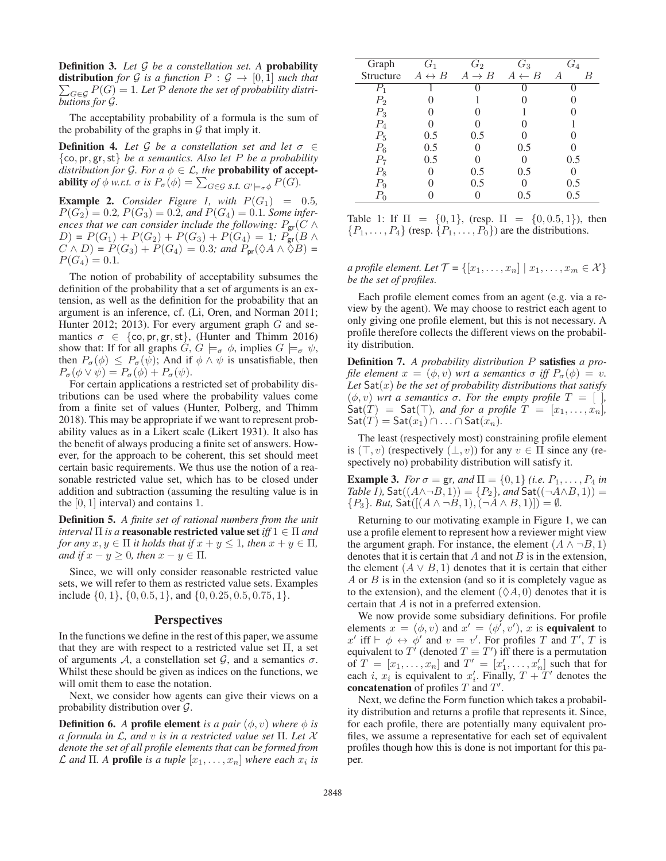Definition 3. *Let* G *be a constellation set. A* probability **distribution** for G is a function  $P : G \rightarrow [0,1]$  such that  $\sum_{G \in \mathcal{G}} P(G) = 1$ *. Let*  $\mathcal P$  *denote the set of probability distributions for* G*.*

The acceptability probability of a formula is the sum of the probability of the graphs in  $G$  that imply it.

**Definition 4.** Let G be a constellation set and let  $\sigma \in$ {co, pr, gr,st} *be a semantics. Also let* P *be a probability distribution for* G. For  $a \phi \in \mathcal{L}$ , the **probability of acceptability** of  $\phi$  w.r.t.  $\sigma$  is  $P_{\sigma}(\phi) = \sum_{G \in \mathcal{G}} s.t. G' \models_{\sigma} \phi P(G)$ .

**Example 2.** *Consider Figure 1, with*  $P(G_1) = 0.5$ *,*  $P(G_2) = 0.2$ ,  $P(G_3) = 0.2$ , and  $P(G_4) = 0.1$ *. Some inferences that we can consider include the following:*  $P_{\text{gr}}(C \wedge T)$  $D) = P(G_1) + P(G_2) + P(G_3) + P(G_4) = 1; P_{\text{gr}}(B \wedge$  $C \wedge D$  =  $P(G_3) + P(G_4) = 0.3$ *; and*  $P_{pr}(\lozenge A \wedge \lozenge B) =$  $P(G_4)=0.1$ .

The notion of probability of acceptability subsumes the definition of the probability that a set of arguments is an extension, as well as the definition for the probability that an argument is an inference, cf. (Li, Oren, and Norman 2011; Hunter 2012; 2013). For every argument graph  $G$  and semantics  $\sigma \in \{\text{co}, \text{pr}, \text{gr}, \text{st}\},$  (Hunter and Thimm 2016) show that: If for all graphs  $G, G \models_{\sigma} \phi$ , implies  $G \models_{\sigma} \psi$ , then  $P_{\sigma}(\phi) \leq P_{\sigma}(\psi)$ ; And if  $\phi \wedge \psi$  is unsatisfiable, then  $P_{\sigma}(\phi \vee \psi) = P_{\sigma}(\phi) + P_{\sigma}(\psi).$ 

For certain applications a restricted set of probability distributions can be used where the probability values come from a finite set of values (Hunter, Polberg, and Thimm 2018). This may be appropriate if we want to represent probability values as in a Likert scale (Likert 1931). It also has the benefit of always producing a finite set of answers. However, for the approach to be coherent, this set should meet certain basic requirements. We thus use the notion of a reasonable restricted value set, which has to be closed under addition and subtraction (assuming the resulting value is in the [0, 1] interval) and contains 1.

Definition 5. *A finite set of rational numbers from the unit interval* Π *is a* reasonable restricted value set *iff* 1 ∈ Π *and for any*  $x, y \in \Pi$  *it holds that if*  $x + y \leq 1$ *, then*  $x + y \in \Pi$ *, and if*  $x - y \geq 0$ *, then*  $x - y \in \Pi$ *.* 

Since, we will only consider reasonable restricted value sets, we will refer to them as restricted value sets. Examples include  $\{0, 1\}$ ,  $\{0, 0.5, 1\}$ , and  $\{0, 0.25, 0.5, 0.75, 1\}$ .

## **Perspectives**

In the functions we define in the rest of this paper, we assume that they are with respect to a restricted value set  $\Pi$ , a set of arguments A, a constellation set G, and a semantics  $\sigma$ . Whilst these should be given as indices on the functions, we will omit them to ease the notation.

Next, we consider how agents can give their views on a probability distribution over G.

**Definition 6.** *A* profile element *is a pair*  $(\phi, v)$  *where*  $\phi$  *is a formula in* L*, and* v *is in a restricted value set* Π*. Let* X *denote the set of all profile elements that can be formed from*  $\mathcal L$  and  $\Pi$ . A **profile** is a tuple  $[x_1,\ldots,x_n]$  where each  $x_i$  is

| Graph            | $G_{1}%$              | $\scriptstyle G_2$ | $\, G_{3} \,$    | $\, G_4$       |
|------------------|-----------------------|--------------------|------------------|----------------|
| Structure        | $A \leftrightarrow B$ | $A \rightarrow B$  | $A \leftarrow B$ | $\overline{A}$ |
| $\overline{P}_1$ |                       |                    |                  |                |
| $P_{2}$          |                       |                    |                  |                |
| $P_3$            |                       |                    |                  |                |
| $P_4$            |                       |                    |                  |                |
| $P_5$            | 0.5                   | 0.5                |                  |                |
| $P_6$            | 0.5                   |                    | 0.5              |                |
| Ρ7               | 0.5                   |                    |                  | 0.5            |
| $P_8$            |                       | 0.5                | 0.5              |                |
| P9               |                       | 0.5                |                  | 0.5            |
|                  |                       |                    |                  | 0.5            |

Table 1: If  $\Pi = \{0, 1\}$ , (resp.  $\Pi = \{0, 0.5, 1\}$ ), then  $\{P_1,\ldots,P_4\}$  (resp.  $\{P_1,\ldots,P_0\}$ ) are the distributions.

*a profile element. Let*  $\mathcal{T} = \{ [x_1, \ldots, x_n] \mid x_1, \ldots, x_m \in \mathcal{X} \}$ *be the set of profiles.*

Each profile element comes from an agent (e.g. via a review by the agent). We may choose to restrict each agent to only giving one profile element, but this is not necessary. A profile therefore collects the different views on the probability distribution.

Definition 7. *A probability distribution* P satisfies *a profile element*  $x = (\phi, v)$  *wrt a semantics*  $\sigma$  *iff*  $P_{\sigma}(\phi) = v$ . Let  $\textsf{Sat}(x)$  *be the set of probability distributions that satisfy*  $(φ, v)$  *wrt a semantics σ. For the empty profile*  $T = [$ *]*,  $\text{Sat}(T) = \text{Sat}(\top)$ *, and for a profile*  $T = [x_1, \ldots, x_n]$ *,*  $\mathsf{Sat}(T) = \mathsf{Sat}(x_1) \cap \ldots \cap \mathsf{Sat}(x_n)$ .

The least (respectively most) constraining profile element is  $(\top, v)$  (respectively  $(\bot, v)$ ) for any  $v \in \Pi$  since any (respectively no) probability distribution will satisfy it.

**Example 3.** *For*  $\sigma = \text{gr}$ *, and*  $\Pi = \{0, 1\}$  *(i.e.*  $P_1, \ldots, P_4$  *in Table 1),* Sat $((A \land \neg B, 1)) = {P_2}$ *, and* Sat $((\neg A \land B, 1)) =$  ${P_3}$ *. But,* Sat $([(A \land \neg B, 1), (\neg A \land B, 1)]) = \emptyset$ *.* 

Returning to our motivating example in Figure 1, we can use a profile element to represent how a reviewer might view the argument graph. For instance, the element  $(A \land \neg B, 1)$ denotes that it is certain that  $A$  and not  $B$  is in the extension, the element  $(A \vee B, 1)$  denotes that it is certain that either  $A$  or  $B$  is in the extension (and so it is completely vague as to the extension), and the element  $(\Diamond A, 0)$  denotes that it is certain that A is not in a preferred extension.

We now provide some subsidiary definitions. For profile elements  $x = (\phi, v)$  and  $x' = (\phi', v')$ , x is equivalent to  $x'$  iff  $\vdash \phi \leftrightarrow \phi'$  and  $v = v'$ . For profiles T and T', T is equivalent to T' (denoted  $T \equiv T'$ ) iff there is a permutation of  $T = [x_1, \ldots, x_n]$  and  $T' = [x'_1, \ldots, x'_n]$  such that for each *i*,  $x_i$  is equivalent to  $x'_i$ . Finally,  $T + T'$  denotes the concatenation of profiles  $T$  and  $T'$ .

Next, we define the Form function which takes a probability distribution and returns a profile that represents it. Since, for each profile, there are potentially many equivalent profiles, we assume a representative for each set of equivalent profiles though how this is done is not important for this paper.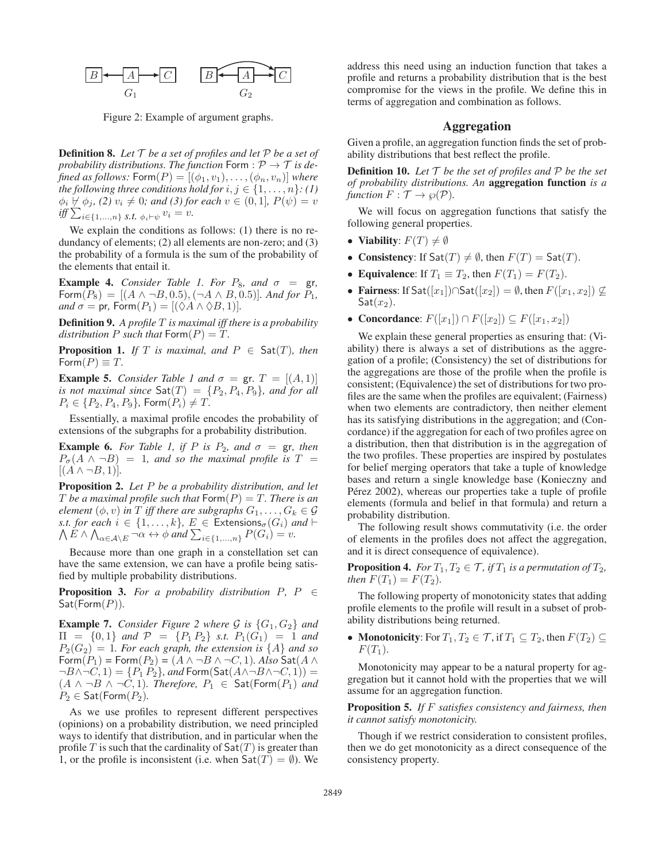

Figure 2: Example of argument graphs.

Definition 8. *Let* T *be a set of profiles and let* P *be a set of probability distributions. The function* Form :  $P \rightarrow T$  *is defined as follows:*  $Form(P) = [(\phi_1, v_1), \ldots, (\phi_n, v_n)]$  *where the following three conditions hold for*  $i, j \in \{1, \ldots, n\}$ *: (1)*  $\phi_i \not\vdash \phi_j$ , (2)  $v_i \neq 0$ ; and (3) for each  $v \in (0,1]$ ,  $P(\psi) = v$  $\inf \sum_{i \in \{1,\ldots,n\}} s.t. \phi_i \vdash \psi v_i = v.$ 

We explain the conditions as follows: (1) there is no redundancy of elements; (2) all elements are non-zero; and (3) the probability of a formula is the sum of the probability of the elements that entail it.

**Example 4.** *Consider Table 1. For*  $P_8$ *, and*  $\sigma = \text{gr}$ *,* Form( $P_8$ ) = [( $A \land \neg B, 0.5$ ), ( $\neg A \land B, 0.5$ )]*. And for*  $P_1$ *, and*  $\sigma = \text{pr}$ , Form $(P_1) = [(\Diamond A \land \Diamond B, 1)].$ 

Definition 9. *A profile* T *is maximal iff there is a probability distribution* P *such that*  $\text{Form}(P) = T$ .

**Proposition 1.** *If*  $T$  *is maximal, and*  $P \in \text{Sat}(T)$ *, then* Form $(P) \equiv T$ .

**Example 5.** *Consider Table 1 and*  $\sigma = \text{gr. } T = [(A, 1)]$ *is not maximal since*  $\text{Sat}(T) = \{P_2, P_4, P_9\}$ *, and for all*  $P_i \in \{P_2, P_4, P_9\}$ , Form $(P_i) \neq T$ .

Essentially, a maximal profile encodes the probability of extensions of the subgraphs for a probability distribution.

**Example 6.** *For Table 1, if P is*  $P_2$ *, and*  $\sigma =$  gr*, then*  $P_{\sigma}(A \wedge \neg B) = 1$ , and so the maximal profile is  $T =$  $[(A \wedge \neg B, 1)].$ 

Proposition 2. *Let* P *be a probability distribution, and let* T be a maximal profile such that  $\mathsf{Form}(P) = T$ . There is an *element*  $(\phi, v)$  *in T iff there are subgraphs*  $G_1, \ldots, G_k \in \mathcal{G}$ Λ *s.t. for each*  $i \in \{1, \ldots, k\}$ ,  $E \in$  Extensions<sub> $\sigma$ </sub>( $G_i$ ) and  $\vdash$  $E \wedge \bigwedge_{\alpha \in \mathcal{A} \setminus E} \neg \alpha \leftrightarrow \phi \text{ and } \sum_{i \in \{1, ..., n\}} P(G_i) = v.$ 

Because more than one graph in a constellation set can have the same extension, we can have a profile being satisfied by multiple probability distributions.

**Proposition 3.** *For a probability distribution*  $P$ ,  $P \in$ Sat(Form(P))*.*

**Example 7.** *Consider Figure 2 where*  $\mathcal{G}$  *is*  $\{G_1, G_2\}$  *and*  $\Pi = \{0, 1\}$  *and*  $P = \{P_1 P_2\}$  *s.t.*  $P_1(G_1) = 1$  *and*  $P_2(G_2)=1$ *. For each graph, the extension is*  $\{A\}$  *and so*  $\mathsf{Form}(P_1) = \mathsf{Form}(P_2) = (A \land \neg B \land \neg C, 1)$ *. Also*  $\mathsf{Sat}(A \land \neg B)$  $\neg B \land \neg C, 1) = \{P_1 P_2\}$ , and  $\mathsf{Form}(\mathsf{Sat}(A \land \neg B \land \neg C, 1)) =$  $(A \land \neg B \land \neg C, 1)$ *. Therefore,*  $P_1$  ∈ Sat(Form( $P_1$ ) *and*  $P_2 \in$  Sat(Form $(P_2)$ *.* 

As we use profiles to represent different perspectives (opinions) on a probability distribution, we need principled ways to identify that distribution, and in particular when the profile T is such that the cardinality of  $\mathsf{Sat}(T)$  is greater than 1, or the profile is inconsistent (i.e. when  $\mathsf{Sat}(T) = \emptyset$ ). We

address this need using an induction function that takes a profile and returns a probability distribution that is the best compromise for the views in the profile. We define this in terms of aggregation and combination as follows.

# Aggregation

Given a profile, an aggregation function finds the set of probability distributions that best reflect the profile.

**Definition 10.** Let  $\mathcal T$  be the set of profiles and  $\mathcal P$  be the set *of probability distributions. An* aggregation function *is a function*  $F : \mathcal{T} \to \wp(\mathcal{P})$ *.* 

We will focus on aggregation functions that satisfy the following general properties.

- Viability:  $F(T) \neq \emptyset$
- Consistency: If  $\mathsf{Sat}(T) \neq \emptyset$ , then  $F(T) = \mathsf{Sat}(T)$ .
- Equivalence: If  $T_1 \equiv T_2$ , then  $F(T_1) = F(T_2)$ .
- Fairness: If Sat $([x_1]) \cap$ Sat $([x_2]) = \emptyset$ , then  $F([x_1, x_2]) \nsubseteq$  $Sat(x_2).$
- Concordance:  $F([x_1]) \cap F([x_2]) \subseteq F([x_1, x_2])$

We explain these general properties as ensuring that: (Viability) there is always a set of distributions as the aggregation of a profile; (Consistency) the set of distributions for the aggregations are those of the profile when the profile is consistent; (Equivalence) the set of distributions for two profiles are the same when the profiles are equivalent; (Fairness) when two elements are contradictory, then neither element has its satisfying distributions in the aggregation; and (Concordance) if the aggregation for each of two profiles agree on a distribution, then that distribution is in the aggregation of the two profiles. These properties are inspired by postulates for belief merging operators that take a tuple of knowledge bases and return a single knowledge base (Konieczny and Pérez 2002), whereas our properties take a tuple of profile elements (formula and belief in that formula) and return a probability distribution.

The following result shows commutativity (i.e. the order of elements in the profiles does not affect the aggregation, and it is direct consequence of equivalence).

**Proposition 4.** *For*  $T_1, T_2 \in \mathcal{T}$ *, if*  $T_1$  *is a permutation of*  $T_2$ *, then*  $F(T_1) = F(T_2)$ *.* 

The following property of monotonicity states that adding profile elements to the profile will result in a subset of probability distributions being returned.

• Monotonicity: For  $T_1, T_2 \in \mathcal{T}$ , if  $T_1 \subseteq T_2$ , then  $F(T_2) \subseteq$  $F(T_1)$ .

Monotonicity may appear to be a natural property for aggregation but it cannot hold with the properties that we will assume for an aggregation function.

Proposition 5. *If* F *satisfies consistency and fairness, then it cannot satisfy monotonicity.*

Though if we restrict consideration to consistent profiles, then we do get monotonicity as a direct consequence of the consistency property.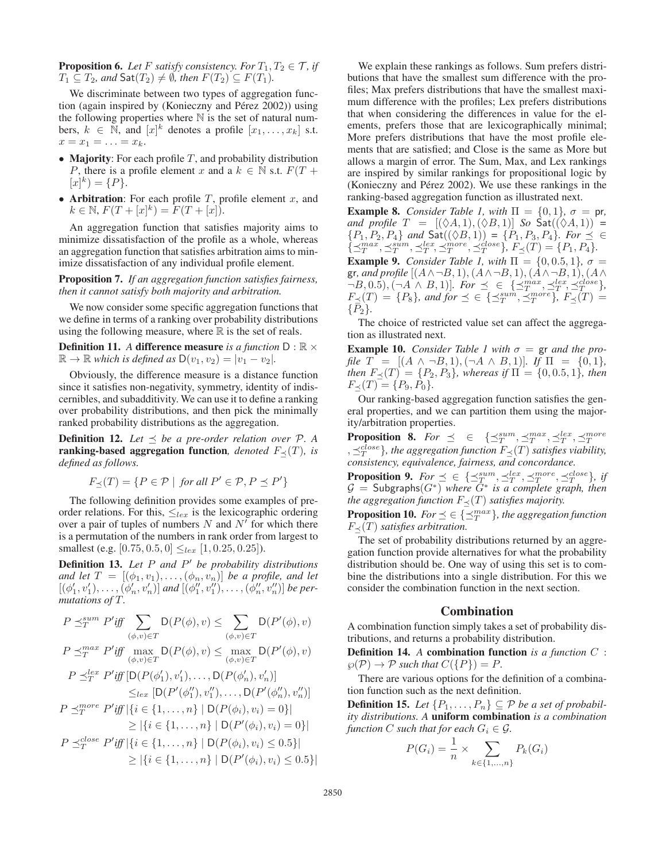**Proposition 6.** Let F satisfy consistency. For  $T_1, T_2 \in \mathcal{T}$ , if  $T_1 \subseteq T_2$ *, and*  $\mathsf{Sat}(T_2) \neq \emptyset$ *, then*  $F(T_2) \subseteq F(T_1)$ *.* 

We discriminate between two types of aggregation function (again inspired by (Konieczny and Pérez 2002)) using the following properties where  $N$  is the set of natural numbers,  $k \in \mathbb{N}$ , and  $[x]^k$  denotes a profile  $[x_1, \ldots, x_k]$  s.t.  $x=x_1=\ldots=x_k.$ 

- Majority: For each profile  $T$ , and probability distribution P, there is a profile element x and a  $k \in \mathbb{N}$  s.t.  $F(T +$  $[x]^{k}$  = {P}.
- Arbitration: For each profile  $T$ , profile element  $x$ , and  $k \in \mathbb{N}, F(T + [x]^k) = F(T + [x]).$

An aggregation function that satisfies majority aims to minimize dissatisfaction of the profile as a whole, whereas an aggregation function that satisfies arbitration aims to minimize dissatisfaction of any individual profile element.

Proposition 7. *If an aggregation function satisfies fairness, then it cannot satisfy both majority and arbitration.*

We now consider some specific aggregation functions that we define in terms of a ranking over probability distributions using the following measure, where  $\mathbb R$  is the set of reals.

**Definition 11.** *A* difference measure *is a function*  $D : \mathbb{R} \times$  $\mathbb{R} \to \mathbb{R}$  *which is defined as*  $D(v_1, v_2) = |v_1 - v_2|$ *.* 

Obviously, the difference measure is a distance function since it satisfies non-negativity, symmetry, identity of indiscernibles, and subadditivity. We can use it to define a ranking over probability distributions, and then pick the minimally ranked probability distributions as the aggregation.

**Definition 12.** Let  $\prec$  be a pre-order relation over  $P$ . A ranking-based aggregation function, *denoted*  $F_\prec(T)$ *, is defined as follows.*

$$
F_{\preceq}(T) = \{ P \in \mathcal{P} \mid \text{for all } P' \in \mathcal{P}, P \preceq P' \}
$$

The following definition provides some examples of preorder relations. For this,  $\leq_{lex}$  is the lexicographic ordering over a pair of tuples of numbers N and  $N<sup>T</sup>$  for which there is a permutation of the numbers in rank order from largest to smallest (e.g.  $[0.75, 0.5, 0] \leq_{lex} [1, 0.25, 0.25]$ ).

Definition 13. Let P and P' be probability distributions *and let*  $T = [(\phi_1, v_1), \ldots, (\phi_n, v_n)]$  *be a profile, and let*  $[(\phi'_1, v'_1), \ldots, (\phi'_n, v'_n)]$  and  $[(\phi''_1, v''_1), \ldots, (\phi''_n, v''_n)]$  be per*mutations of* T*.*

$$
P \preceq_T^{sum} P' \text{iff} \sum_{(\phi,v) \in T} D(P(\phi), v) \leq \sum_{(\phi,v) \in T} D(P'(\phi), v)
$$
  
\n
$$
P \preceq_T^{max} P' \text{iff} \max_{(\phi,v) \in T} D(P(\phi), v) \leq \max_{(\phi,v) \in T} D(P'(\phi), v)
$$
  
\n
$$
P \preceq_T^{lex} P' \text{iff} [D(P(\phi'_1), v'_1), \dots, D(P(\phi'_n), v'_n)]
$$
  
\n
$$
\leq_{lex} [D(P'(\phi''_1), v''_1), \dots, D(P'(\phi''_n), v''_n)]
$$
  
\n
$$
P \preceq_T^{more} P' \text{iff} |\{i \in \{1, \dots, n\} | D(P(\phi_i), v_i) = 0\}|
$$
  
\n
$$
\geq |\{i \in \{1, \dots, n\} | D(P'(\phi_i), v_i) \leq 0.5\}|
$$
  
\n
$$
P \preceq_T^{close} P' \text{iff} |\{i \in \{1, \dots, n\} | D(P(\phi_i), v_i) \leq 0.5\}|
$$
  
\n
$$
\geq |\{i \in \{1, \dots, n\} | D(P'(\phi_i), v_i) \leq 0.5\}|
$$

We explain these rankings as follows. Sum prefers distributions that have the smallest sum difference with the profiles; Max prefers distributions that have the smallest maximum difference with the profiles; Lex prefers distributions that when considering the differences in value for the elements, prefers those that are lexicographically minimal; More prefers distributions that have the most profile elements that are satisfied; and Close is the same as More but allows a margin of error. The Sum, Max, and Lex rankings are inspired by similar rankings for propositional logic by (Konieczny and Pérez 2002). We use these rankings in the ranking-based aggregation function as illustrated next.

**Example 8.** *Consider Table 1, with*  $\Pi = \{0, 1\}$ ,  $\sigma = \text{pr}$ , *and profile*  $T = [(\Diamond A, 1), (\Diamond B, 1)]$  *So*  $Sat((\Diamond A, 1)) =$  ${P_1, P_2, P_4}$  *and*  $\textsf{Sat}((\Diamond B, 1)) = {P_1, P_3, P_4}$ *. For*  $\preceq \in$  $\{\preceq_T^{max}, \preceq_T^{sim}, \preceq_T^{rel}, \preceq_T^{more}, \preceq_T^{close}\}, F_\preceq(T) = \{P_1, P_4\}.$ 

**Example 9.** *Consider Table 1, with*  $\Pi = \{0, 0.5, 1\}$ ,  $\sigma =$ gr, and profile  $[(A \land \neg B, 1), (A \land \neg B, 1), (A \land \neg B, 1), (A \land \neg B, 1)]$  $\neg B, 0.5), (\neg A \wedge B, 1)$ *. For*  $\preceq \in {\preceq_{T}^{max}, \preceq_{T}^{lex}, \preceq_{T}^{close}}$  $F_{\preceq}(T) = \{P_8\}$ , and for  $\preceq \in {\{\preceq_T^{sum}, \preceq_T^{more}\}}$ ,  $F_{\preceq}(T) =$  $\{P_2\}.$ 

The choice of restricted value set can affect the aggregation as illustrated next.

**Example 10.** *Consider Table 1 with*  $\sigma =$  gr *and the profile*  $T = [(A \land \neg B, 1), (\neg A \land B, 1)]$ *. If*  $\Pi = \{0, 1\}$ *, then*  $F_*(T) = \{P_2, P_3\}$ *, whereas if*  $\Pi = \{0, 0.5, 1\}$ *, then*  $F_{\preceq}(T) = \{P_9, P_0\}.$ 

Our ranking-based aggregation function satisfies the general properties, and we can partition them using the majority/arbitration properties.

**Proposition 8.** For  $\preceq$   $\in$   $\{\preceq_T^{sum}, \preceq_T^{max}, \preceq_T^{lex}, \preceq_T^{more}\}$  $\{z_T^{close}\}$ , the aggregation function  $F_\preceq(T)$  satisfies viability, *consistency, equivalence, fairness, and concordance.*

**Proposition 9.** *For*  $\preceq \in {\{\preceq_T^{sum}, \preceq_T^{lex}, \preceq_T^{more}, \preceq_T^{close}\}}$ *, if*  $G =$  Subgraphs $(G^*)$  *where*  $G^*$  *is a complete graph, then the aggregation function*  $F_\prec(T)$  *satisfies majority.* 

**Proposition 10.** *For*  $\preceq \in {\{\preceq_T^{max}\}}$ , *the aggregation function*  $F_\prec(T)$  *satisfies arbitration.* 

The set of probability distributions returned by an aggregation function provide alternatives for what the probability distribution should be. One way of using this set is to combine the distributions into a single distribution. For this we consider the combination function in the next section.

#### Combination

A combination function simply takes a set of probability distributions, and returns a probability distribution.

Definition 14. *A* combination function *is a function* C :  $\wp(\mathcal{P}) \to \mathcal{P}$  such that  $C({P}) = P$ .

There are various options for the definition of a combination function such as the next definition.

**Definition 15.** *Let*  $\{P_1, \ldots, P_n\}$  ⊆  $\emptyset$  *be a set of probability distributions. A* uniform combination *is a combination function C such that for each*  $G_i \in \mathcal{G}$ *.* 

$$
P(G_i) = \frac{1}{n} \times \sum_{k \in \{1, ..., n\}} P_k(G_i)
$$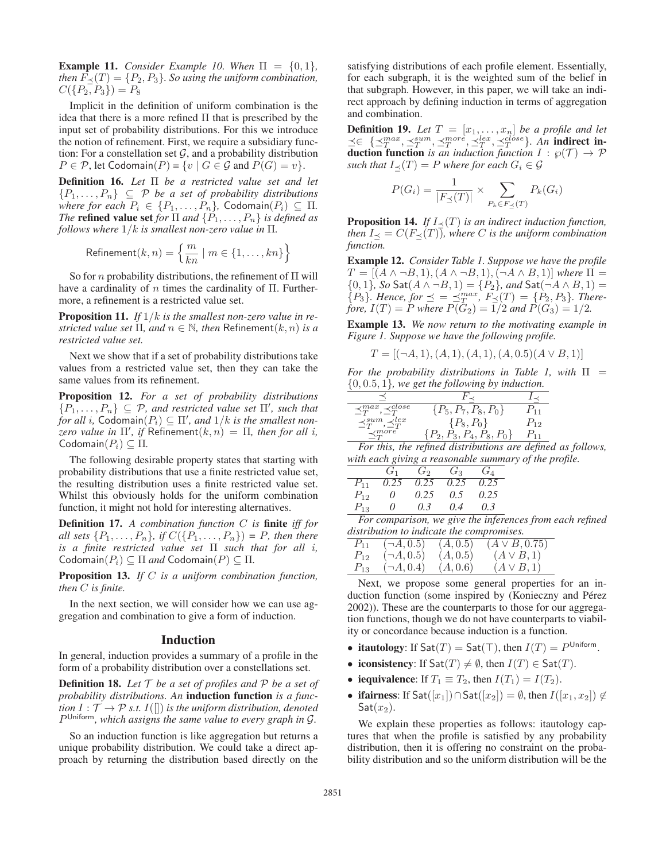**Example 11.** *Consider Example 10. When*  $\Pi = \{0, 1\}$ , *then*  $F_<(T) = \{P_2, P_3\}$ *. So using the uniform combination,*  $C({P_2, P_3}) = P_8$ 

Implicit in the definition of uniform combination is the idea that there is a more refined  $\Pi$  that is prescribed by the input set of probability distributions. For this we introduce the notion of refinement. First, we require a subsidiary function: For a constellation set  $G$ , and a probability distribution  $P \in \mathcal{P}$ , let Codomain $(P) = \{v \mid G \in \mathcal{G} \text{ and } P(G) = v\}.$ 

Definition 16. *Let* Π *be a restricted value set and let*  ${P_1, \ldots, P_n}$   $\subseteq$  *P be a set of probability distributions where for each*  $P_i \in \{P_1, \ldots, P_n\}$ , Codomain $(P_i) \subseteq \Pi$ . *The* **refined value set** *for*  $\Pi$  *and*  $\{P_1, \ldots, P_n\}$  *is defined as follows where* 1/k *is smallest non-zero value in* Π*.*

$$
\text{Refinement}(k, n) = \left\{ \frac{m}{kn} \mid m \in \{1, \dots, kn\} \right\}
$$

So for *n* probability distributions, the refinement of  $\Pi$  will have a cardinality of n times the cardinality of  $\Pi$ . Furthermore, a refinement is a restricted value set.

Proposition 11. *If* 1/k *is the smallest non-zero value in restricted value set*  $\Pi$ *, and*  $n \in \mathbb{N}$ *, then* Refinement $(k, n)$  *is a restricted value set.*

Next we show that if a set of probability distributions take values from a restricted value set, then they can take the same values from its refinement.

Proposition 12. *For a set of probability distributions*  $\{P_1, \ldots, P_n\} \subseteq \mathcal{P}$ , and restricted value set  $\Pi'$ , such that  $\hat{f}$ *or all i,* Codomain $(P_i) \subseteq \Pi'$ , and  $1/k$  is the smallest non $zero$  value in  $\Pi'$ , if Refinement $(k,n)=\Pi$ , then for all i, Codomain $(P_i) \subseteq \Pi$ .

The following desirable property states that starting with probability distributions that use a finite restricted value set, the resulting distribution uses a finite restricted value set. Whilst this obviously holds for the uniform combination function, it might not hold for interesting alternatives.

Definition 17. *A combination function* C *is* finite *iff for all sets*  $\{P_1, ..., P_n\}$ *, if*  $C(\{P_1, ..., P_n\}) = P$ *, then there is a finite restricted value set* Π *such that for all* i*,*  $\text{Codomain}(P_i) \subseteq \Pi$  *and*  $\text{Codomain}(P) \subseteq \Pi$ .

Proposition 13. *If* C *is a uniform combination function, then* C *is finite.*

In the next section, we will consider how we can use aggregation and combination to give a form of induction.

## Induction

In general, induction provides a summary of a profile in the form of a probability distribution over a constellations set.

**Definition 18.** Let  $\mathcal T$  be a set of profiles and  $\mathcal P$  be a set of *probability distributions. An* induction function *is a function*  $I : \mathcal{T} \rightarrow \mathcal{P}$  *s.t.*  $I(||)$  *is the uniform distribution, denoted* P Uniform*, which assigns the same value to every graph in* G*.*

So an induction function is like aggregation but returns a unique probability distribution. We could take a direct approach by returning the distribution based directly on the

satisfying distributions of each profile element. Essentially, for each subgraph, it is the weighted sum of the belief in that subgraph. However, in this paper, we will take an indirect approach by defining induction in terms of aggregation and combination.

**Definition 19.** Let  $T = [x_1, \ldots, x_n]$  be a profile and let  $\preceq \in {\{\preceq_T^{max},\preceq_T^{sum},\preceq_T^{more},\preceq_T^{lex},\preceq_T^{close}\}}$ . An indirect in**duction function** *is an induction function*  $I : \wp(\mathcal{T}) \to \mathcal{P}$ *such that*  $I_\prec(T) = P$  *where for each*  $G_i \in \mathcal{G}$ 

$$
P(G_i) = \frac{1}{|F_{\preceq}(T)|} \times \sum_{P_k \in F_{\preceq}(T)} P_k(G_i)
$$

**Proposition 14.** *If*  $I_{\prec}(T)$  *is an indirect induction function, then*  $I_{\prec} = C(F_{\prec}(T))$ *, where C is the uniform combination function.*

Example 12. *Consider Table 1. Suppose we have the profile*  $T = [(A \wedge \neg B, 1), (A \wedge \neg B, 1), (\neg A \wedge B, 1)]$  *where*  $\Pi$ {0, 1}*, So* Sat(A ∧ ¬B, 1) = {P2}*, and* Sat(¬A ∧ B, 1) =  ${P_3}$ *. Hence, for*  $\preceq = \preceq_T^{max}$ ,  $F_{\preceq}(T) = {P_2, P_3}$ *. Therefore,*  $I(T) = P$  *where*  $P(G_2) = 1/2$  *and*  $P(G_3) = 1/2$ *.* 

Example 13. *We now return to the motivating example in Figure 1. Suppose we have the following profile.*

$$
T = [(\neg A, 1), (A, 1), (A, 1), (A, 0.5), (A \lor B, 1)]
$$

*For the probability distributions in Table 1, with*  $\Pi$  = {0, 0.5, 1}*, we get the following by induction.*

| $\preceq_T^{max}, \preceq_T^{close}$ | $\{P_5, P_7, P_8, P_0\}$      |     |
|--------------------------------------|-------------------------------|-----|
| $\preceq_T^{sum}, \preceq_T^{lex}$   | $\{P_8, P_0\}$                | Р12 |
| $\prec_m^{more}$                     | $\{P_2, P_3, P_4, P_8, P_0\}$ |     |

*For this, the refined distributions are defined as follows, with each giving a reasonable summary of the profile.*

|          | $G_1$    | $G_2$ | $G_3$         | $G_A$ |
|----------|----------|-------|---------------|-------|
| $P_{11}$ | 0.25     | 0.25  | 0.25          | 0.25  |
| $P_{12}$ | $\theta$ | 0.25  | $0.5^{\circ}$ | 0.25  |
| $P_{13}$ | $\theta$ | 0.3   | 0.4           | 0.3   |

*For comparison, we give the inferences from each refined distribution to indicate the compromises.*

| $P_{11}$ | $(\neg A, 0.5)$ | (A, 0.5) | $(A \vee B, 0.75)$ |
|----------|-----------------|----------|--------------------|
| $P_{12}$ | $(\neg A, 0.5)$ | (A, 0.5) | $(A \vee B, 1)$    |
| $P_{13}$ | $(\neg A, 0.4)$ | (A, 0.6) | $(A \vee B, 1)$    |

Next, we propose some general properties for an induction function (some inspired by (Konieczny and Pérez 2002)). These are the counterparts to those for our aggregation functions, though we do not have counterparts to viability or concordance because induction is a function.

- itautology: If  $\mathsf{Sat}(T) = \mathsf{Sat}(\top)$ , then  $I(T) = P^{\mathsf{Uniform}}$ .
- iconsistency: If  $\text{Sat}(T) \neq \emptyset$ , then  $I(T) \in \text{Sat}(T)$ .
- iequivalence: If  $T_1 \equiv T_2$ , then  $I(T_1) = I(T_2)$ .
- ifairness: If Sat $([x_1]) \cap$ Sat $([x_2]) = \emptyset$ , then  $I([x_1, x_2]) \notin$  $\mathsf{Sat}(x_2)$ .

We explain these properties as follows: itautology captures that when the profile is satisfied by any probability distribution, then it is offering no constraint on the probability distribution and so the uniform distribution will be the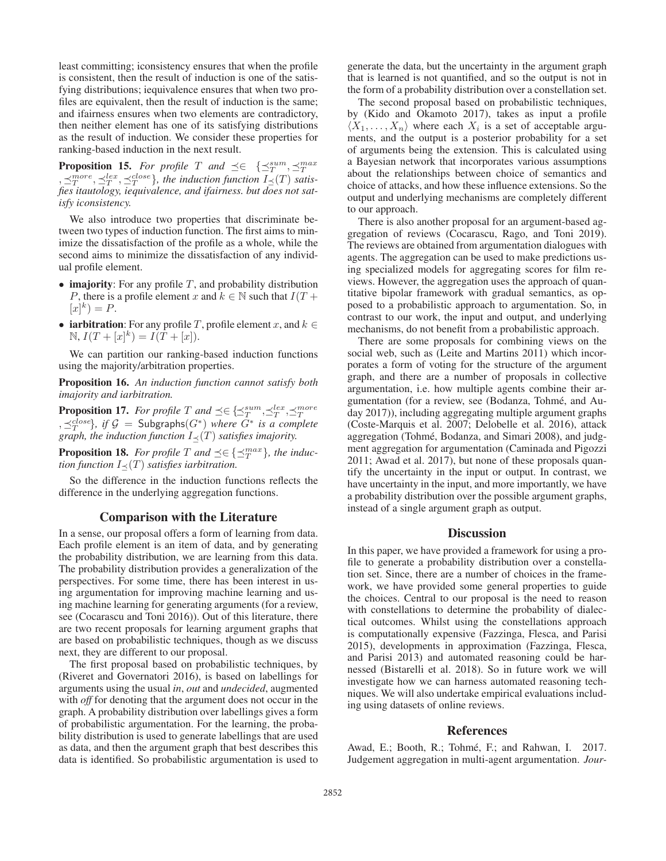least committing; iconsistency ensures that when the profile is consistent, then the result of induction is one of the satisfying distributions; iequivalence ensures that when two profiles are equivalent, then the result of induction is the same; and ifairness ensures when two elements are contradictory, then neither element has one of its satisfying distributions as the result of induction. We consider these properties for ranking-based induction in the next result.

**Proposition 15.** For profile T and  $\preceq \in \{\preceq_T^{sum}, \preceq_T^{max}\}$  $\{A, \preceq_T^{more}, \preceq_T^{lex}, \preceq_T^{close}\},$  the induction function  $I_{\preceq}(T)$  satis*fies itautology, iequivalence, and ifairness. but does not satisfy iconsistency.*

We also introduce two properties that discriminate between two types of induction function. The first aims to minimize the dissatisfaction of the profile as a whole, while the second aims to minimize the dissatisfaction of any individual profile element.

- imajority: For any profile  $T$ , and probability distribution P, there is a profile element x and  $k \in \mathbb{N}$  such that  $I(T +$  $[x]^k$  = P.
- iarbitration: For any profile T, profile element x, and  $k \in$  $N, I(T + [x]^k) = I(T + [x]).$

We can partition our ranking-based induction functions using the majority/arbitration properties.

Proposition 16. *An induction function cannot satisfy both imajority and iarbitration.*

**Proposition 17.** For profile T and  $\preceq \in {\{\preceq_T^{sum},\preceq_T^{max}\}}$  $\{A, \preceq_T^{close}\}$ , if  $\mathcal{G} =$  Subgraphs $(G^*)$  *where*  $G^*$  *is a complete graph, the induction function*  $I_{\prec}(T)$  *satisfies imajority.* 

**Proposition 18.** *For profile*  $T$  *and*  $\preceq \in {\{\preceq_T^{max}\}}$ *, the induction function*  $I_{\prec}(T)$  *satisfies iarbitration.* 

So the difference in the induction functions reflects the difference in the underlying aggregation functions.

# Comparison with the Literature

In a sense, our proposal offers a form of learning from data. Each profile element is an item of data, and by generating the probability distribution, we are learning from this data. The probability distribution provides a generalization of the perspectives. For some time, there has been interest in using argumentation for improving machine learning and using machine learning for generating arguments (for a review, see (Cocarascu and Toni 2016)). Out of this literature, there are two recent proposals for learning argument graphs that are based on probabilistic techniques, though as we discuss next, they are different to our proposal.

The first proposal based on probabilistic techniques, by (Riveret and Governatori 2016), is based on labellings for arguments using the usual *in*, *out* and *undecided*, augmented with *off* for denoting that the argument does not occur in the graph. A probability distribution over labellings gives a form of probabilistic argumentation. For the learning, the probability distribution is used to generate labellings that are used as data, and then the argument graph that best describes this data is identified. So probabilistic argumentation is used to

generate the data, but the uncertainty in the argument graph that is learned is not quantified, and so the output is not in the form of a probability distribution over a constellation set.

The second proposal based on probabilistic techniques, by (Kido and Okamoto 2017), takes as input a profile  $\langle X_1,\ldots,X_n\rangle$  where each  $X_i$  is a set of acceptable arguments, and the output is a posterior probability for a set of arguments being the extension. This is calculated using a Bayesian network that incorporates various assumptions about the relationships between choice of semantics and choice of attacks, and how these influence extensions. So the output and underlying mechanisms are completely different to our approach.

There is also another proposal for an argument-based aggregation of reviews (Cocarascu, Rago, and Toni 2019). The reviews are obtained from argumentation dialogues with agents. The aggregation can be used to make predictions using specialized models for aggregating scores for film reviews. However, the aggregation uses the approach of quantitative bipolar framework with gradual semantics, as opposed to a probabilistic approach to argumentation. So, in contrast to our work, the input and output, and underlying mechanisms, do not benefit from a probabilistic approach.

There are some proposals for combining views on the social web, such as (Leite and Martins 2011) which incorporates a form of voting for the structure of the argument graph, and there are a number of proposals in collective argumentation, i.e. how multiple agents combine their argumentation (for a review, see (Bodanza, Tohme, and Au- ´ day 2017)), including aggregating multiple argument graphs (Coste-Marquis et al. 2007; Delobelle et al. 2016), attack aggregation (Tohmé, Bodanza, and Simari 2008), and judgment aggregation for argumentation (Caminada and Pigozzi 2011; Awad et al. 2017), but none of these proposals quantify the uncertainty in the input or output. In contrast, we have uncertainty in the input, and more importantly, we have a probability distribution over the possible argument graphs, instead of a single argument graph as output.

# **Discussion**

In this paper, we have provided a framework for using a profile to generate a probability distribution over a constellation set. Since, there are a number of choices in the framework, we have provided some general properties to guide the choices. Central to our proposal is the need to reason with constellations to determine the probability of dialectical outcomes. Whilst using the constellations approach is computationally expensive (Fazzinga, Flesca, and Parisi 2015), developments in approximation (Fazzinga, Flesca, and Parisi 2013) and automated reasoning could be harnessed (Bistarelli et al. 2018). So in future work we will investigate how we can harness automated reasoning techniques. We will also undertake empirical evaluations including using datasets of online reviews.

#### References

Awad, E.; Booth, R.; Tohmé, F.; and Rahwan, I. 2017. Judgement aggregation in multi-agent argumentation. *Jour-*